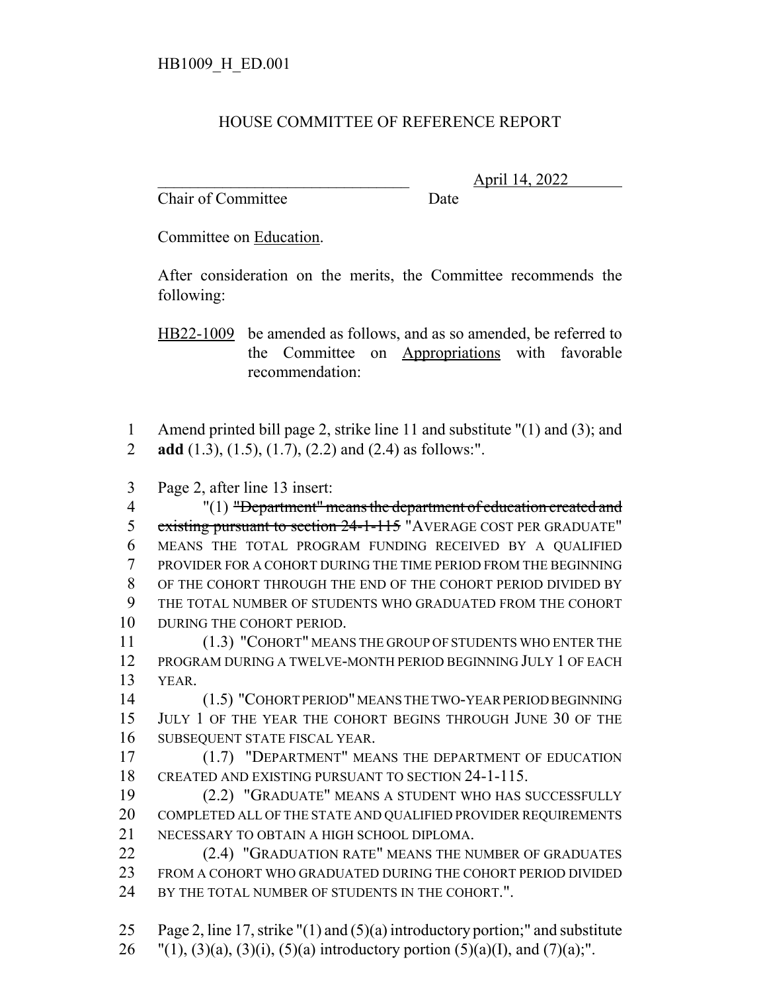## HOUSE COMMITTEE OF REFERENCE REPORT

Chair of Committee Date

\_\_\_\_\_\_\_\_\_\_\_\_\_\_\_\_\_\_\_\_\_\_\_\_\_\_\_\_\_\_\_ April 14, 2022

Committee on Education.

After consideration on the merits, the Committee recommends the following:

HB22-1009 be amended as follows, and as so amended, be referred to the Committee on Appropriations with favorable recommendation:

 Amend printed bill page 2, strike line 11 and substitute "(1) and (3); and **add** (1.3), (1.5), (1.7), (2.2) and (2.4) as follows:".

Page 2, after line 13 insert:

 "(1) "Department" means the department of education created and 5 existing pursuant to section 24-1-115 "AVERAGE COST PER GRADUATE" MEANS THE TOTAL PROGRAM FUNDING RECEIVED BY A QUALIFIED PROVIDER FOR A COHORT DURING THE TIME PERIOD FROM THE BEGINNING OF THE COHORT THROUGH THE END OF THE COHORT PERIOD DIVIDED BY THE TOTAL NUMBER OF STUDENTS WHO GRADUATED FROM THE COHORT DURING THE COHORT PERIOD.

 (1.3) "COHORT" MEANS THE GROUP OF STUDENTS WHO ENTER THE PROGRAM DURING A TWELVE-MONTH PERIOD BEGINNING JULY 1 OF EACH YEAR.

 (1.5) "COHORT PERIOD" MEANS THE TWO-YEAR PERIOD BEGINNING JULY 1 OF THE YEAR THE COHORT BEGINS THROUGH JUNE 30 OF THE SUBSEQUENT STATE FISCAL YEAR.

 (1.7) "DEPARTMENT" MEANS THE DEPARTMENT OF EDUCATION CREATED AND EXISTING PURSUANT TO SECTION 24-1-115.

 (2.2) "GRADUATE" MEANS A STUDENT WHO HAS SUCCESSFULLY COMPLETED ALL OF THE STATE AND QUALIFIED PROVIDER REQUIREMENTS NECESSARY TO OBTAIN A HIGH SCHOOL DIPLOMA.

**(2.4) "GRADUATION RATE" MEANS THE NUMBER OF GRADUATES**  FROM A COHORT WHO GRADUATED DURING THE COHORT PERIOD DIVIDED 24 BY THE TOTAL NUMBER OF STUDENTS IN THE COHORT.".

 Page 2, line 17, strike "(1) and (5)(a) introductory portion;" and substitute 26  $"(1), (3)(a), (3)(i), (5)(a)$  introductory portion  $(5)(a)(I)$ , and  $(7)(a)$ ;".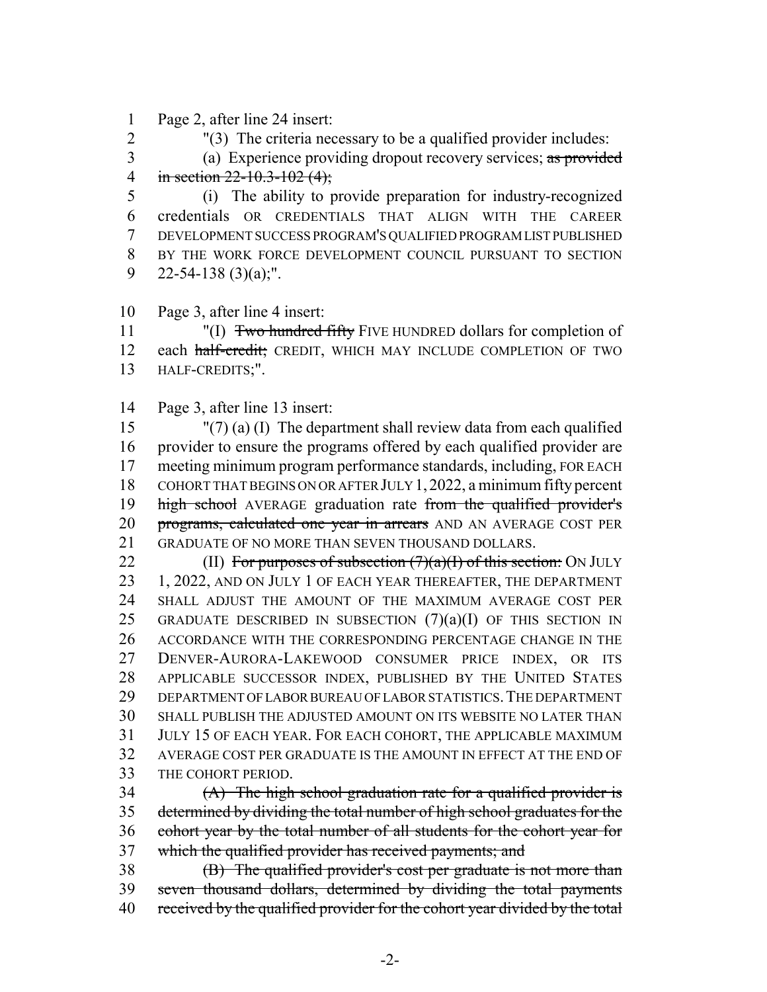Page 2, after line 24 insert:

"(3) The criteria necessary to be a qualified provider includes:

3 (a) Experience providing dropout recovery services; as provided 4 in section  $22 - 10.3 - 102$  (4);

 (i) The ability to provide preparation for industry-recognized credentials OR CREDENTIALS THAT ALIGN WITH THE CAREER DEVELOPMENT SUCCESS PROGRAM'S QUALIFIED PROGRAM LIST PUBLISHED BY THE WORK FORCE DEVELOPMENT COUNCIL PURSUANT TO SECTION 9 22-54-138 (3)(a);".

Page 3, after line 4 insert:

11 "(I) Two hundred fifty FIVE HUNDRED dollars for completion of 12 each half-credit; CREDIT, WHICH MAY INCLUDE COMPLETION OF TWO HALF-CREDITS;".

Page 3, after line 13 insert:

 "(7) (a) (I) The department shall review data from each qualified provider to ensure the programs offered by each qualified provider are meeting minimum program performance standards, including, FOR EACH COHORT THAT BEGINS ON OR AFTER JULY 1,2022, a minimum fifty percent 19 high school AVERAGE graduation rate from the qualified provider's 20 programs, calculated one year in arrears AND AN AVERAGE COST PER GRADUATE OF NO MORE THAN SEVEN THOUSAND DOLLARS.

22 (II) For purposes of subsection  $(7)(a)(I)$  of this section: ON JULY 1, 2022, AND ON JULY 1 OF EACH YEAR THEREAFTER, THE DEPARTMENT SHALL ADJUST THE AMOUNT OF THE MAXIMUM AVERAGE COST PER 25 GRADUATE DESCRIBED IN SUBSECTION  $(7)(a)(I)$  OF THIS SECTION IN ACCORDANCE WITH THE CORRESPONDING PERCENTAGE CHANGE IN THE DENVER-AURORA-LAKEWOOD CONSUMER PRICE INDEX, OR ITS APPLICABLE SUCCESSOR INDEX, PUBLISHED BY THE UNITED STATES DEPARTMENT OF LABOR BUREAU OF LABOR STATISTICS.THE DEPARTMENT SHALL PUBLISH THE ADJUSTED AMOUNT ON ITS WEBSITE NO LATER THAN JULY 15 OF EACH YEAR. FOR EACH COHORT, THE APPLICABLE MAXIMUM AVERAGE COST PER GRADUATE IS THE AMOUNT IN EFFECT AT THE END OF THE COHORT PERIOD.

 $(4)$  The high school graduation rate for a qualified provider is determined by dividing the total number of high school graduates for the cohort year by the total number of all students for the cohort year for which the qualified provider has received payments; and

38 (B) The qualified provider's cost per graduate is not more than seven thousand dollars, determined by dividing the total payments 40 received by the qualified provider for the cohort year divided by the total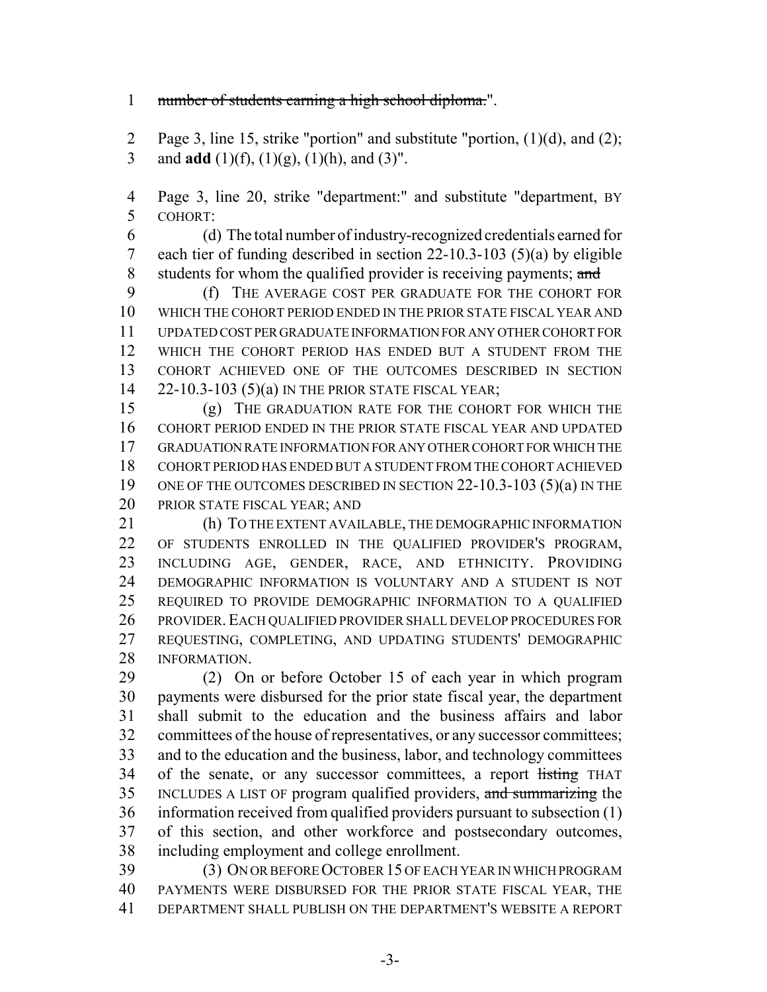## 1 number of students earning a high school diploma.".

 Page 3, line 15, strike "portion" and substitute "portion, (1)(d), and (2); 3 and **add** (1)(f), (1)(g), (1)(h), and (3)".

 Page 3, line 20, strike "department:" and substitute "department, BY COHORT:

 (d) The total number of industry-recognized credentials earned for each tier of funding described in section 22-10.3-103 (5)(a) by eligible 8 students for whom the qualified provider is receiving payments; and

 (f) THE AVERAGE COST PER GRADUATE FOR THE COHORT FOR WHICH THE COHORT PERIOD ENDED IN THE PRIOR STATE FISCAL YEAR AND UPDATED COST PER GRADUATE INFORMATION FOR ANY OTHER COHORT FOR WHICH THE COHORT PERIOD HAS ENDED BUT A STUDENT FROM THE COHORT ACHIEVED ONE OF THE OUTCOMES DESCRIBED IN SECTION 22-10.3-103 (5)(a) IN THE PRIOR STATE FISCAL YEAR;

 (g) THE GRADUATION RATE FOR THE COHORT FOR WHICH THE COHORT PERIOD ENDED IN THE PRIOR STATE FISCAL YEAR AND UPDATED GRADUATION RATE INFORMATION FOR ANY OTHER COHORT FOR WHICH THE COHORT PERIOD HAS ENDED BUT A STUDENT FROM THE COHORT ACHIEVED ONE OF THE OUTCOMES DESCRIBED IN SECTION 22-10.3-103 (5)(a) IN THE PRIOR STATE FISCAL YEAR; AND

 (h) TO THE EXTENT AVAILABLE, THE DEMOGRAPHIC INFORMATION OF STUDENTS ENROLLED IN THE QUALIFIED PROVIDER'S PROGRAM, INCLUDING AGE, GENDER, RACE, AND ETHNICITY. PROVIDING DEMOGRAPHIC INFORMATION IS VOLUNTARY AND A STUDENT IS NOT REQUIRED TO PROVIDE DEMOGRAPHIC INFORMATION TO A QUALIFIED PROVIDER.EACH QUALIFIED PROVIDER SHALL DEVELOP PROCEDURES FOR REQUESTING, COMPLETING, AND UPDATING STUDENTS' DEMOGRAPHIC INFORMATION.

 (2) On or before October 15 of each year in which program payments were disbursed for the prior state fiscal year, the department shall submit to the education and the business affairs and labor committees of the house of representatives, or any successor committees; and to the education and the business, labor, and technology committees 34 of the senate, or any successor committees, a report listing THAT INCLUDES A LIST OF program qualified providers, and summarizing the information received from qualified providers pursuant to subsection (1) of this section, and other workforce and postsecondary outcomes, including employment and college enrollment.

 (3) ON OR BEFORE OCTOBER 15 OF EACH YEAR IN WHICH PROGRAM PAYMENTS WERE DISBURSED FOR THE PRIOR STATE FISCAL YEAR, THE DEPARTMENT SHALL PUBLISH ON THE DEPARTMENT'S WEBSITE A REPORT